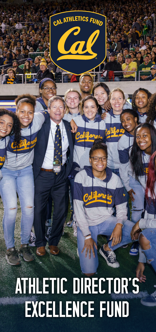## CAL ATHLETICS FUND ATHLETIC DIRECTOR'S EXCELLENCE FUND